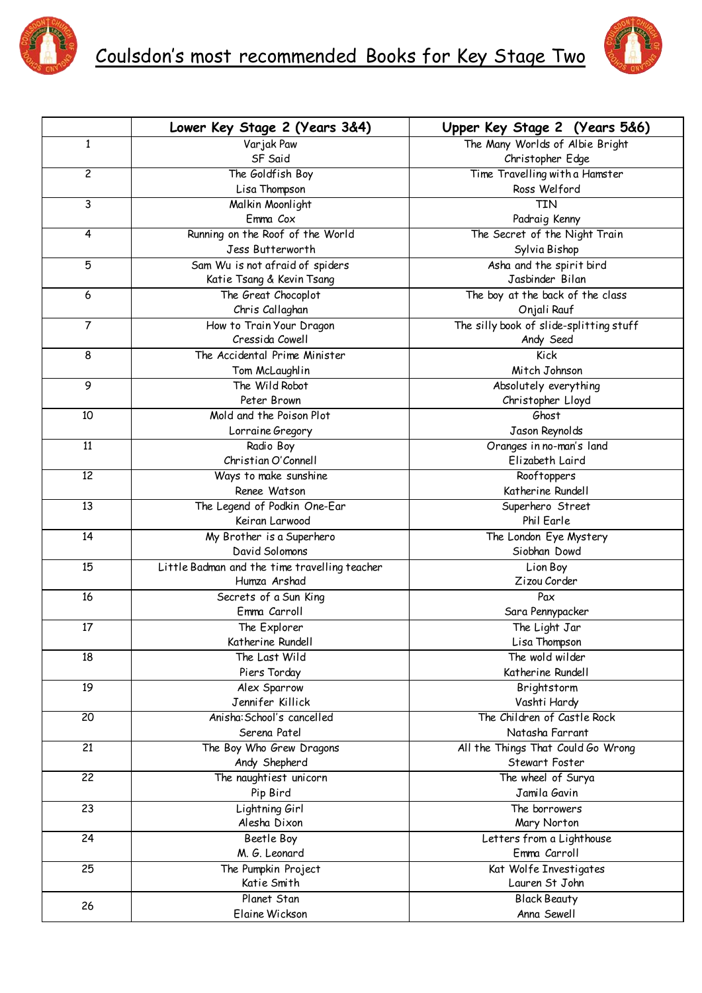



|                 | Lower Key Stage 2 (Years 3&4)                                 | Upper Key Stage 2 (Years 5&6)           |
|-----------------|---------------------------------------------------------------|-----------------------------------------|
| 1               | Varjak Paw                                                    | The Many Worlds of Albie Bright         |
|                 | SF Said                                                       | Christopher Edge                        |
| $\overline{c}$  | The Goldfish Boy                                              | Time Travelling with a Hamster          |
|                 | Lisa Thompson                                                 | Ross Welford                            |
| 3               | Malkin Moonlight                                              | TIN                                     |
|                 | Emma Cox                                                      | Padraig Kenny                           |
| 4               | Running on the Roof of the World                              | The Secret of the Night Train           |
|                 | Jess Butterworth                                              | Sylvia Bishop                           |
| 5               | Sam Wu is not afraid of spiders                               | Asha and the spirit bird                |
|                 | Katie Tsang & Kevin Tsang                                     | Jasbinder Bilan                         |
| $6\,$           | The Great Chocoplot                                           | The boy at the back of the class        |
|                 | Chris Callaghan                                               | Onjali Rauf                             |
| $\overline{7}$  | How to Train Your Dragon                                      | The silly book of slide-splitting stuff |
|                 | Cressida Cowell                                               | Andy Seed                               |
| 8               | The Accidental Prime Minister                                 | Kick                                    |
|                 | Tom McLaughlin                                                | Mitch Johnson                           |
| 9               | The Wild Robot                                                | Absolutely everything                   |
|                 | Peter Brown                                                   | Christopher Lloyd                       |
| 10              | Mold and the Poison Plot                                      | Ghost                                   |
|                 | Lorraine Gregory                                              | Jason Reynolds                          |
| $\overline{11}$ | Radio Boy                                                     | Oranges in no-man's land                |
|                 | Christian O'Connell                                           | Elizabeth Laird                         |
| $\overline{12}$ | Ways to make sunshine                                         | Rooftoppers                             |
|                 | Renee Watson                                                  | Katherine Rundell                       |
| $\overline{13}$ | The Legend of Podkin One-Ear                                  | Superhero Street                        |
|                 | Keiran Larwood                                                | Phil Earle                              |
| 14              | My Brother is a Superhero                                     | The London Eye Mystery                  |
|                 | David Solomons                                                | Siobhan Dowd                            |
| 15              | Little Badman and the time travelling teacher<br>Humza Arshad | Lion Boy<br>Zizou Corder                |
| 16              | Secrets of a Sun King                                         | Pax                                     |
|                 | Emma Carroll                                                  | Sara Pennypacker                        |
| 17              | The Explorer                                                  | The Light Jar                           |
|                 | Katherine Rundell                                             | Lisa Thompson                           |
| 18              | The Last Wild                                                 | The wold wilder                         |
|                 | Piers Torday                                                  | Katherine Rundell                       |
| 19              | Alex Sparrow                                                  | Brightstorm                             |
|                 | Jennifer Killick                                              | Vashti Hardy                            |
| $\overline{20}$ | Anisha: School's cancelled                                    | The Children of Castle Rock             |
|                 | Serena Patel                                                  | Natasha Farrant                         |
| $\overline{21}$ | The Boy Who Grew Dragons                                      | All the Things That Could Go Wrong      |
|                 | Andy Shepherd                                                 | Stewart Foster                          |
| $\overline{22}$ | The naughtiest unicorn                                        | The wheel of Surya                      |
|                 | Pip Bird                                                      | Jamila Gavin                            |
| 23              | Lightning Girl                                                | The borrowers                           |
|                 | Alesha Dixon                                                  | Mary Norton                             |
| 24              | Beetle Boy                                                    | Letters from a Lighthouse               |
|                 | M. G. Leonard                                                 | Emma Carroll                            |
| 25              | The Pumpkin Project                                           | Kat Wolfe Investigates                  |
|                 | Katie Smith                                                   | Lauren St John                          |
| 26              | Planet Stan                                                   | <b>Black Beauty</b>                     |
|                 | Elaine Wickson                                                | Anna Sewell                             |